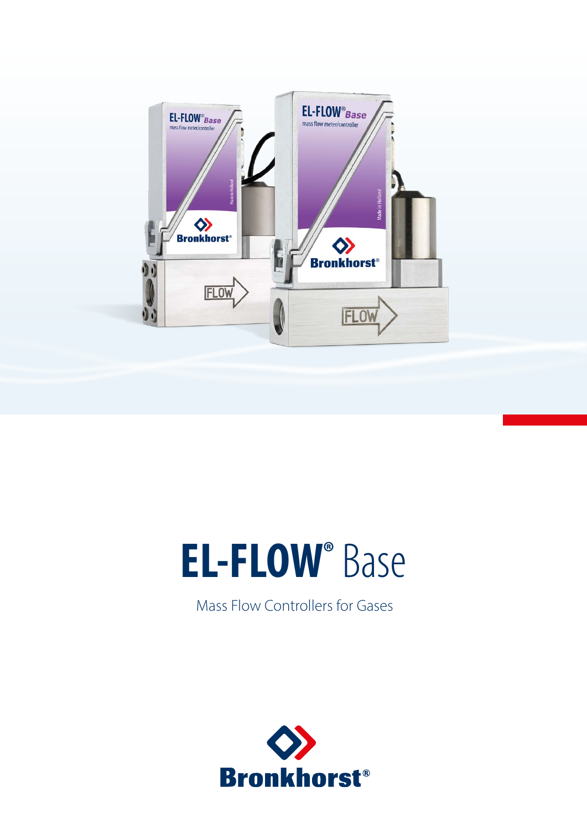

# **EL-FLOW®** Base

Mass Flow Controllers for Gases

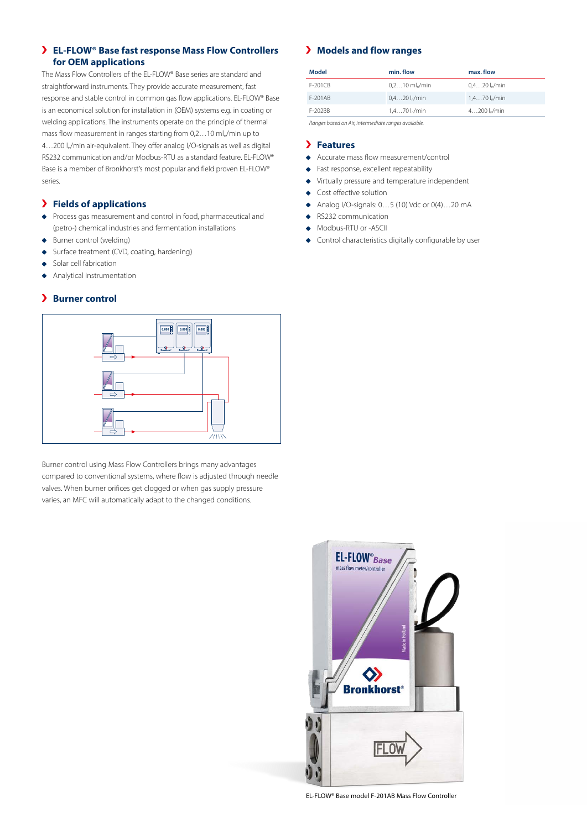# **EL-FLOW® Base fast response Mass Flow Controllers for OEM applications**

The Mass Flow Controllers of the EL-FLOW® Base series are standard and straightforward instruments. They provide accurate measurement, fast response and stable control in common gas flow applications. EL-FLOW® Base is an economical solution for installation in (OEM) systems e.g. in coating or welding applications. The instruments operate on the principle of thermal mass flow measurement in ranges starting from 0,2...10 ml<sub>n</sub>/min up to 4...200 l<sub>n</sub>/min air-equivalent. They offer analog I/O-signals as well as digital RS232 communication and/or Modbus-RTU as a standard feature. EL-FLOW® Base is a member of Bronkhorst's most popular and field proven EL-FLOW® series.

#### **Fields of applications**

- Process gas measurement and control in food, pharmaceutical and (petro-) chemical industries and fermentation installations
- Burner control (welding)
- ◆ Surface treatment (CVD, coating, hardening)
- Solar cell fabrication
- Analytical instrumentation  $\ddot{\bullet}$

#### **Burner control**



Burner control using Mass Flow Controllers brings many advantages compared to conventional systems, where flow is adjusted through needle valves. When burner orifices get clogged or when gas supply pressure varies, an MFC will automatically adapt to the changed conditions.

# **Models and flow ranges**

| Model   | min. flow                | max. flow             |
|---------|--------------------------|-----------------------|
| F-201CB | $0.210$ ml $\omega$ /min | $0.420$ l $\sqrt{mn}$ |
| F-201AB | $0.420$ l $\sqrt{mn}$    | $1.470$ l $\sqrt{mn}$ |
| F-202BB | $1.470$ l $\sqrt{mn}$    | $4200$ l $\sqrt{mn}$  |

*Ranges based on Air, intermediate ranges available.*

#### **Features**

- Accurate mass flow measurement/control
- Fast response, excellent repeatability
- Virtually pressure and temperature independent
- ◆ Cost effective solution
- $\bullet$  Analog I/O-signals: 0...5 (10) Vdc or 0(4)...20 mA
- ◆ RS232 communication
- ◆ Modbus-RTU or -ASCII
- Control characteristics digitally configurable by user



EL-FLOW® Base model F-201AB Mass Flow Controller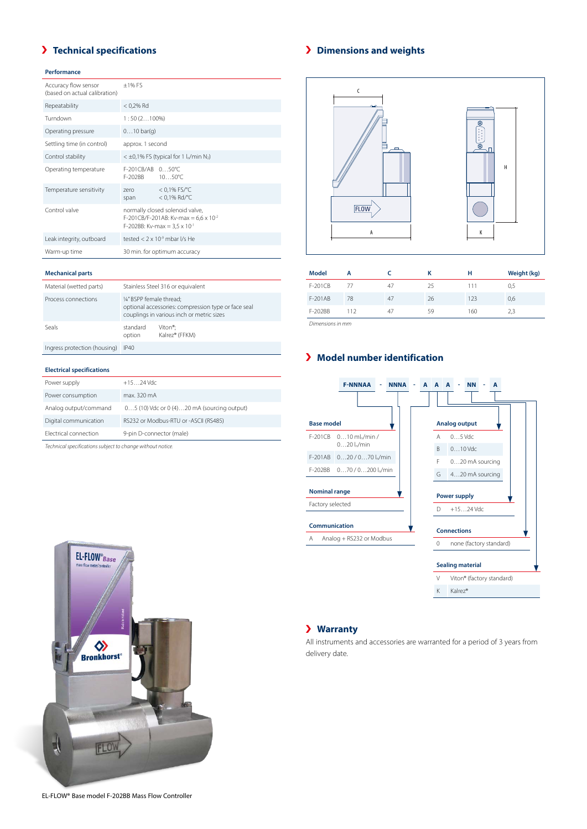# **Technical specifications**

#### **Performance**

| Accuracy flow sensor<br>(based on actual calibration) | $\pm$ 1% FS                                                                                                                 |                                    |  |
|-------------------------------------------------------|-----------------------------------------------------------------------------------------------------------------------------|------------------------------------|--|
| Repeatability                                         | $< 0.2%$ Rd                                                                                                                 |                                    |  |
| Turndown                                              | $1:50(2100\%)$                                                                                                              |                                    |  |
| Operating pressure                                    | $010$ bar(q)                                                                                                                |                                    |  |
| Settling time (in control)                            | approx. 1 second                                                                                                            |                                    |  |
| Control stability                                     | $<$ ±0,1% FS (typical for 1 l <sub>n</sub> /min N <sub>2</sub> )                                                            |                                    |  |
| Operating temperature                                 | F-201CB/AB 050°C<br>F-202BB                                                                                                 | $10.50^{\circ}$ C                  |  |
| Temperature sensitivity                               | zero<br>span                                                                                                                | $< 0.1\%$ FS/°C<br>$< 0.1\%$ Rd/°C |  |
| Control valve                                         | normally closed solenoid valve,<br>F-201CB/F-201AB: Kv-max = $6.6 \times 10^{-2}$<br>F-202BB: Kv-max = $3.5 \times 10^{-1}$ |                                    |  |
| Leak integrity, outboard                              | tested $< 2 \times 10$ <sup>9</sup> mbar l/s He                                                                             |                                    |  |
| Warm-up time                                          | 30 min. for optimum accuracy                                                                                                |                                    |  |

#### **Mechanical parts**

| Material (wetted parts)      | Stainless Steel 316 or equivalent                                                                                            |                                        |  |
|------------------------------|------------------------------------------------------------------------------------------------------------------------------|----------------------------------------|--|
| Process connections          | 1/4" BSPP female thread:<br>optional accessories: compression type or face seal<br>couplings in various inch or metric sizes |                                        |  |
| Seals                        | standard<br>option                                                                                                           | Viton <sup>®</sup> :<br>Kalrez® (FFKM) |  |
| Ingress protection (housing) | IP40                                                                                                                         |                                        |  |

#### **Electrical specifications**

| Power supply          | $+1524$ Vdc                                 |
|-----------------------|---------------------------------------------|
| Power consumption     | max. 320 mA                                 |
| Analog output/command | 05 (10) Vdc or 0 (4)20 mA (sourcing output) |
| Digital communication | RS232 or Modbus-RTU or -ASCII (RS485)       |
| Electrical connection | 9-pin D-connector (male)                    |

*Technical specifications subject to change without notice.*

# **Dimensions and weights**



| mouer     | n   |    | n  | п   | weight (kg) |
|-----------|-----|----|----|-----|-------------|
| $F-201CB$ |     | 47 | 25 | 111 | 0,5         |
| F-201AB   | 78  | 47 | 26 | 123 | 0,6         |
| F-202BB   | 112 | 47 | 59 | 160 | 2.3         |
|           |     |    |    |     |             |

*Dimensions in mm*

# **Model number identification**





# **Warranty**

All instruments and accessories are warranted for a period of 3 years from delivery date.